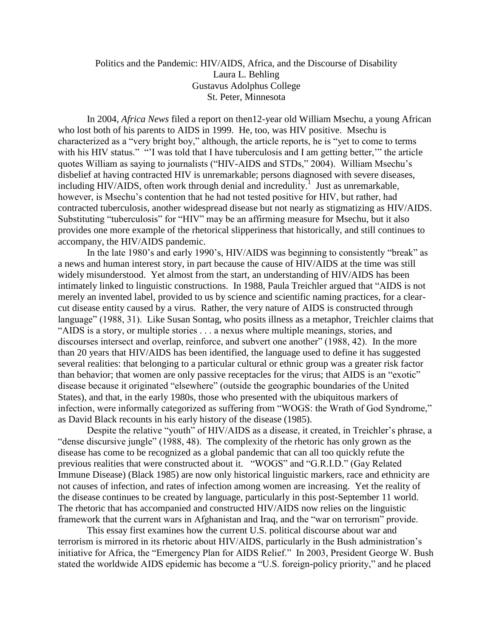## Politics and the Pandemic: HIV/AIDS, Africa, and the Discourse of Disability Laura L. Behling Gustavus Adolphus College St. Peter, Minnesota

In 2004, *Africa News* filed a report on then12-year old William Msechu, a young African who lost both of his parents to AIDS in 1999. He, too, was HIV positive. Msechu is characterized as a "very bright boy," although, the article reports, he is "yet to come to terms with his HIV status." "I was told that I have tuberculosis and I am getting better," the article quotes William as saying to journalists ("HIV-AIDS and STDs," 2004). William Msechu's disbelief at having contracted HIV is unremarkable; persons diagnosed with severe diseases, including HIV/AIDS, often work through denial and incredulity.<sup>1</sup> Just as unremarkable, however, is Msechu's contention that he had not tested positive for HIV, but rather, had contracted tuberculosis, another widespread disease but not nearly as stigmatizing as HIV/AIDS. Substituting "tuberculosis" for "HIV" may be an affirming measure for Msechu, but it also provides one more example of the rhetorical slipperiness that historically, and still continues to accompany, the HIV/AIDS pandemic.

In the late 1980's and early 1990's, HIV/AIDS was beginning to consistently "break" as a news and human interest story, in part because the cause of HIV/AIDS at the time was still widely misunderstood. Yet almost from the start, an understanding of HIV/AIDS has been intimately linked to linguistic constructions. In 1988, Paula Treichler argued that "AIDS is not merely an invented label, provided to us by science and scientific naming practices, for a clearcut disease entity caused by a virus. Rather, the very nature of AIDS is constructed through language" (1988, 31). Like Susan Sontag, who posits illness as a metaphor, Treichler claims that "AIDS is a story, or multiple stories . . . a nexus where multiple meanings, stories, and discourses intersect and overlap, reinforce, and subvert one another" (1988, 42). In the more than 20 years that HIV/AIDS has been identified, the language used to define it has suggested several realities: that belonging to a particular cultural or ethnic group was a greater risk factor than behavior; that women are only passive receptacles for the virus; that AIDS is an "exotic" disease because it originated "elsewhere" (outside the geographic boundaries of the United States), and that, in the early 1980s, those who presented with the ubiquitous markers of infection, were informally categorized as suffering from "WOGS: the Wrath of God Syndrome," as David Black recounts in his early history of the disease (1985).

Despite the relative "youth" of HIV/AIDS as a disease, it created, in Treichler's phrase, a "dense discursive jungle" (1988, 48). The complexity of the rhetoric has only grown as the disease has come to be recognized as a global pandemic that can all too quickly refute the previous realities that were constructed about it. "WOGS" and "G.R.I.D." (Gay Related Immune Disease) (Black 1985) are now only historical linguistic markers, race and ethnicity are not causes of infection, and rates of infection among women are increasing. Yet the reality of the disease continues to be created by language, particularly in this post-September 11 world. The rhetoric that has accompanied and constructed HIV/AIDS now relies on the linguistic framework that the current wars in Afghanistan and Iraq, and the "war on terrorism" provide.

This essay first examines how the current U.S. political discourse about war and terrorism is mirrored in its rhetoric about HIV/AIDS, particularly in the Bush administration's initiative for Africa, the "Emergency Plan for AIDS Relief." In 2003, President George W. Bush stated the worldwide AIDS epidemic has become a "U.S. foreign-policy priority," and he placed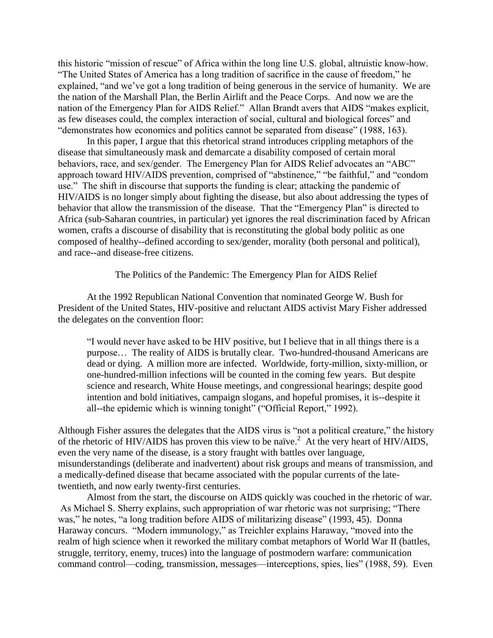this historic "mission of rescue" of Africa within the long line U.S. global, altruistic know-how. "The United States of America has a long tradition of sacrifice in the cause of freedom," he explained, "and we've got a long tradition of being generous in the service of humanity. We are the nation of the Marshall Plan, the Berlin Airlift and the Peace Corps. And now we are the nation of the Emergency Plan for AIDS Relief." Allan Brandt avers that AIDS "makes explicit, as few diseases could, the complex interaction of social, cultural and biological forces" and "demonstrates how economics and politics cannot be separated from disease" (1988, 163).

In this paper, I argue that this rhetorical strand introduces crippling metaphors of the disease that simultaneously mask and demarcate a disability composed of certain moral behaviors, race, and sex/gender. The Emergency Plan for AIDS Relief advocates an "ABC" approach toward HIV/AIDS prevention, comprised of "abstinence," "be faithful," and "condom use." The shift in discourse that supports the funding is clear; attacking the pandemic of HIV/AIDS is no longer simply about fighting the disease, but also about addressing the types of behavior that allow the transmission of the disease. That the "Emergency Plan" is directed to Africa (sub-Saharan countries, in particular) yet ignores the real discrimination faced by African women, crafts a discourse of disability that is reconstituting the global body politic as one composed of healthy--defined according to sex/gender, morality (both personal and political), and race--and disease-free citizens.

The Politics of the Pandemic: The Emergency Plan for AIDS Relief

At the 1992 Republican National Convention that nominated George W. Bush for President of the United States, HIV-positive and reluctant AIDS activist Mary Fisher addressed the delegates on the convention floor:

"I would never have asked to be HIV positive, but I believe that in all things there is a purpose… The reality of AIDS is brutally clear. Two-hundred-thousand Americans are dead or dying. A million more are infected. Worldwide, forty-million, sixty-million, or one-hundred-million infections will be counted in the coming few years. But despite science and research, White House meetings, and congressional hearings; despite good intention and bold initiatives, campaign slogans, and hopeful promises, it is--despite it all--the epidemic which is winning tonight" ("Official Report," 1992).

Although Fisher assures the delegates that the AIDS virus is "not a political creature," the history of the rhetoric of HIV/AIDS has proven this view to be naïve.<sup>2</sup> At the very heart of HIV/AIDS, even the very name of the disease, is a story fraught with battles over language, misunderstandings (deliberate and inadvertent) about risk groups and means of transmission, and a medically-defined disease that became associated with the popular currents of the latetwentieth, and now early twenty-first centuries.

Almost from the start, the discourse on AIDS quickly was couched in the rhetoric of war. As Michael S. Sherry explains, such appropriation of war rhetoric was not surprising; "There was," he notes, "a long tradition before AIDS of militarizing disease" (1993, 45). Donna Haraway concurs. "Modern immunology," as Treichler explains Haraway, "moved into the realm of high science when it reworked the military combat metaphors of World War II (battles, struggle, territory, enemy, truces) into the language of postmodern warfare: communication command control—coding, transmission, messages—interceptions, spies, lies" (1988, 59). Even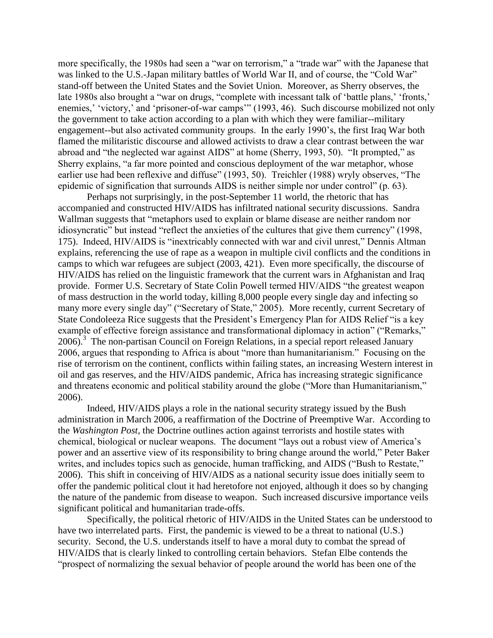more specifically, the 1980s had seen a "war on terrorism," a "trade war" with the Japanese that was linked to the U.S.-Japan military battles of World War II, and of course, the "Cold War" stand-off between the United States and the Soviet Union. Moreover, as Sherry observes, the late 1980s also brought a "war on drugs, "complete with incessant talk of 'battle plans,' 'fronts,' enemies,' 'victory,' and 'prisoner-of-war camps'" (1993, 46). Such discourse mobilized not only the government to take action according to a plan with which they were familiar--military engagement--but also activated community groups. In the early 1990's, the first Iraq War both flamed the militaristic discourse and allowed activists to draw a clear contrast between the war abroad and "the neglected war against AIDS" at home (Sherry, 1993, 50). "It prompted," as Sherry explains, "a far more pointed and conscious deployment of the war metaphor, whose earlier use had been reflexive and diffuse" (1993, 50). Treichler (1988) wryly observes, "The epidemic of signification that surrounds AIDS is neither simple nor under control" (p. 63).

Perhaps not surprisingly, in the post-September 11 world, the rhetoric that has accompanied and constructed HIV/AIDS has infiltrated national security discussions. Sandra Wallman suggests that "metaphors used to explain or blame disease are neither random nor idiosyncratic" but instead "reflect the anxieties of the cultures that give them currency" (1998, 175). Indeed, HIV/AIDS is "inextricably connected with war and civil unrest," Dennis Altman explains, referencing the use of rape as a weapon in multiple civil conflicts and the conditions in camps to which war refugees are subject (2003, 421). Even more specifically, the discourse of HIV/AIDS has relied on the linguistic framework that the current wars in Afghanistan and Iraq provide. Former U.S. Secretary of State Colin Powell termed HIV/AIDS "the greatest weapon of mass destruction in the world today, killing 8,000 people every single day and infecting so many more every single day" ("Secretary of State," 2005). More recently, current Secretary of State Condoleeza Rice suggests that the President's Emergency Plan for AIDS Relief "is a key example of effective foreign assistance and transformational diplomacy in action" ("Remarks," 2006).<sup>3</sup> The non-partisan Council on Foreign Relations, in a special report released January 2006, argues that responding to Africa is about "more than humanitarianism." Focusing on the rise of terrorism on the continent, conflicts within failing states, an increasing Western interest in oil and gas reserves, and the HIV/AIDS pandemic, Africa has increasing strategic significance and threatens economic and political stability around the globe ("More than Humanitarianism," 2006).

Indeed, HIV/AIDS plays a role in the national security strategy issued by the Bush administration in March 2006, a reaffirmation of the Doctrine of Preemptive War. According to the *Washington Post*, the Doctrine outlines action against terrorists and hostile states with chemical, biological or nuclear weapons. The document "lays out a robust view of America's power and an assertive view of its responsibility to bring change around the world," Peter Baker writes, and includes topics such as genocide, human trafficking, and AIDS ("Bush to Restate," 2006). This shift in conceiving of HIV/AIDS as a national security issue does initially seem to offer the pandemic political clout it had heretofore not enjoyed, although it does so by changing the nature of the pandemic from disease to weapon. Such increased discursive importance veils significant political and humanitarian trade-offs.

Specifically, the political rhetoric of HIV/AIDS in the United States can be understood to have two interrelated parts. First, the pandemic is viewed to be a threat to national (U.S.) security. Second, the U.S. understands itself to have a moral duty to combat the spread of HIV/AIDS that is clearly linked to controlling certain behaviors. Stefan Elbe contends the "prospect of normalizing the sexual behavior of people around the world has been one of the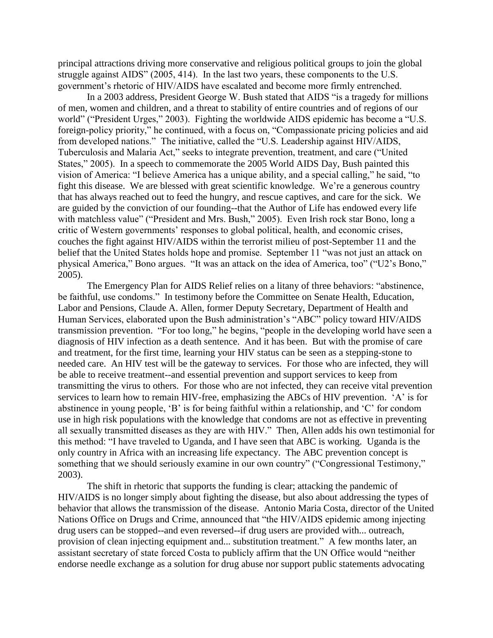principal attractions driving more conservative and religious political groups to join the global struggle against AIDS" (2005, 414). In the last two years, these components to the U.S. government's rhetoric of HIV/AIDS have escalated and become more firmly entrenched.

In a 2003 address, President George W. Bush stated that AIDS "is a tragedy for millions of men, women and children, and a threat to stability of entire countries and of regions of our world" ("President Urges," 2003). Fighting the worldwide AIDS epidemic has become a "U.S. foreign-policy priority," he continued, with a focus on, "Compassionate pricing policies and aid from developed nations." The initiative, called the "U.S. Leadership against HIV/AIDS, Tuberculosis and Malaria Act," seeks to integrate prevention, treatment, and care ("United States," 2005). In a speech to commemorate the 2005 World AIDS Day, Bush painted this vision of America: "I believe America has a unique ability, and a special calling," he said, "to fight this disease. We are blessed with great scientific knowledge. We're a generous country that has always reached out to feed the hungry, and rescue captives, and care for the sick. We are guided by the conviction of our founding--that the Author of Life has endowed every life with matchless value" ("President and Mrs. Bush," 2005). Even Irish rock star Bono, long a critic of Western governments' responses to global political, health, and economic crises, couches the fight against HIV/AIDS within the terrorist milieu of post-September 11 and the belief that the United States holds hope and promise. September 11 "was not just an attack on physical America," Bono argues. "It was an attack on the idea of America, too" ("U2's Bono," 2005).

The Emergency Plan for AIDS Relief relies on a litany of three behaviors: "abstinence, be faithful, use condoms." In testimony before the Committee on Senate Health, Education, Labor and Pensions, Claude A. Allen, former Deputy Secretary, Department of Health and Human Services, elaborated upon the Bush administration's "ABC" policy toward HIV/AIDS transmission prevention. "For too long," he begins, "people in the developing world have seen a diagnosis of HIV infection as a death sentence. And it has been. But with the promise of care and treatment, for the first time, learning your HIV status can be seen as a stepping-stone to needed care. An HIV test will be the gateway to services. For those who are infected, they will be able to receive treatment--and essential prevention and support services to keep from transmitting the virus to others. For those who are not infected, they can receive vital prevention services to learn how to remain HIV-free, emphasizing the ABCs of HIV prevention. 'A' is for abstinence in young people, 'B' is for being faithful within a relationship, and 'C' for condom use in high risk populations with the knowledge that condoms are not as effective in preventing all sexually transmitted diseases as they are with HIV." Then, Allen adds his own testimonial for this method: "I have traveled to Uganda, and I have seen that ABC is working. Uganda is the only country in Africa with an increasing life expectancy. The ABC prevention concept is something that we should seriously examine in our own country" ("Congressional Testimony," 2003).

The shift in rhetoric that supports the funding is clear; attacking the pandemic of HIV/AIDS is no longer simply about fighting the disease, but also about addressing the types of behavior that allows the transmission of the disease. Antonio Maria Costa, director of the United Nations Office on Drugs and Crime, announced that "the HIV/AIDS epidemic among injecting drug users can be stopped--and even reversed--if drug users are provided with... outreach, provision of clean injecting equipment and... substitution treatment." A few months later, an assistant secretary of state forced Costa to publicly affirm that the UN Office would "neither endorse needle exchange as a solution for drug abuse nor support public statements advocating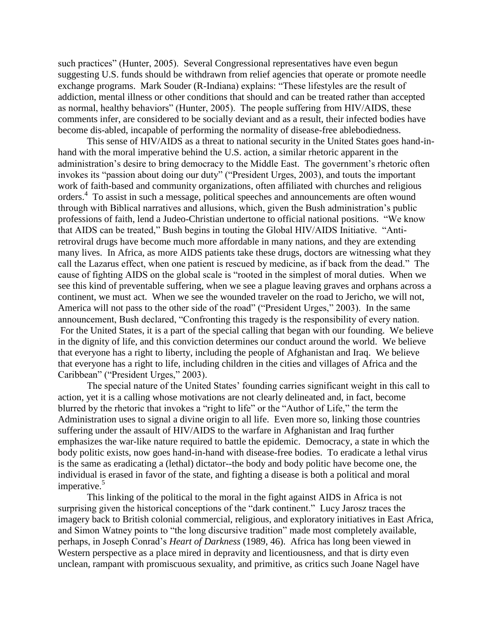such practices" (Hunter, 2005). Several Congressional representatives have even begun suggesting U.S. funds should be withdrawn from relief agencies that operate or promote needle exchange programs. Mark Souder (R-Indiana) explains: "These lifestyles are the result of addiction, mental illness or other conditions that should and can be treated rather than accepted as normal, healthy behaviors" (Hunter, 2005). The people suffering from HIV/AIDS, these comments infer, are considered to be socially deviant and as a result, their infected bodies have become dis-abled, incapable of performing the normality of disease-free ablebodiedness.

This sense of HIV/AIDS as a threat to national security in the United States goes hand-inhand with the moral imperative behind the U.S. action, a similar rhetoric apparent in the administration's desire to bring democracy to the Middle East. The government's rhetoric often invokes its "passion about doing our duty" ("President Urges, 2003), and touts the important work of faith-based and community organizations, often affiliated with churches and religious orders.<sup>4</sup> To assist in such a message, political speeches and announcements are often wound through with Biblical narratives and allusions, which, given the Bush administration's public professions of faith, lend a Judeo-Christian undertone to official national positions. "We know that AIDS can be treated," Bush begins in touting the Global HIV/AIDS Initiative. "Antiretroviral drugs have become much more affordable in many nations, and they are extending many lives. In Africa, as more AIDS patients take these drugs, doctors are witnessing what they call the Lazarus effect, when one patient is rescued by medicine, as if back from the dead." The cause of fighting AIDS on the global scale is "rooted in the simplest of moral duties. When we see this kind of preventable suffering, when we see a plague leaving graves and orphans across a continent, we must act. When we see the wounded traveler on the road to Jericho, we will not, America will not pass to the other side of the road" ("President Urges," 2003). In the same announcement, Bush declared, "Confronting this tragedy is the responsibility of every nation. For the United States, it is a part of the special calling that began with our founding. We believe in the dignity of life, and this conviction determines our conduct around the world. We believe that everyone has a right to liberty, including the people of Afghanistan and Iraq. We believe that everyone has a right to life, including children in the cities and villages of Africa and the Caribbean" ("President Urges," 2003).

The special nature of the United States' founding carries significant weight in this call to action, yet it is a calling whose motivations are not clearly delineated and, in fact, become blurred by the rhetoric that invokes a "right to life" or the "Author of Life," the term the Administration uses to signal a divine origin to all life. Even more so, linking those countries suffering under the assault of HIV/AIDS to the warfare in Afghanistan and Iraq further emphasizes the war-like nature required to battle the epidemic. Democracy, a state in which the body politic exists, now goes hand-in-hand with disease-free bodies. To eradicate a lethal virus is the same as eradicating a (lethal) dictator--the body and body politic have become one, the individual is erased in favor of the state, and fighting a disease is both a political and moral imperative.<sup>5</sup>

This linking of the political to the moral in the fight against AIDS in Africa is not surprising given the historical conceptions of the "dark continent." Lucy Jarosz traces the imagery back to British colonial commercial, religious, and exploratory initiatives in East Africa, and Simon Watney points to "the long discursive tradition" made most completely available, perhaps, in Joseph Conrad's *Heart of Darkness* (1989, 46). Africa has long been viewed in Western perspective as a place mired in depravity and licentiousness, and that is dirty even unclean, rampant with promiscuous sexuality, and primitive, as critics such Joane Nagel have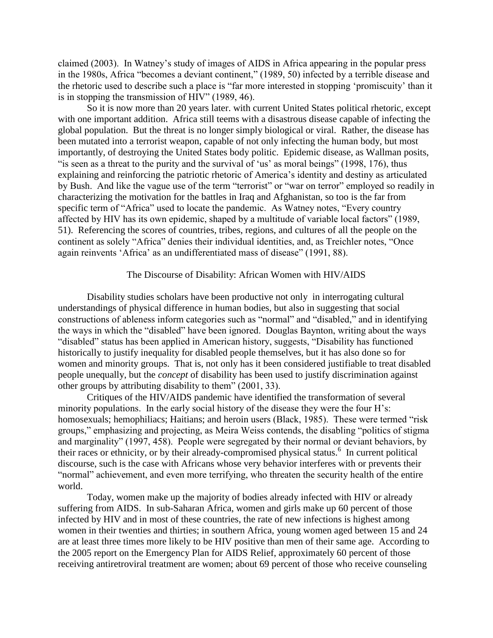claimed (2003). In Watney's study of images of AIDS in Africa appearing in the popular press in the 1980s, Africa "becomes a deviant continent," (1989, 50) infected by a terrible disease and the rhetoric used to describe such a place is "far more interested in stopping 'promiscuity' than it is in stopping the transmission of HIV" (1989, 46).

So it is now more than 20 years later. with current United States political rhetoric, except with one important addition. Africa still teems with a disastrous disease capable of infecting the global population. But the threat is no longer simply biological or viral. Rather, the disease has been mutated into a terrorist weapon, capable of not only infecting the human body, but most importantly, of destroying the United States body politic. Epidemic disease, as Wallman posits, "is seen as a threat to the purity and the survival of 'us' as moral beings" (1998, 176), thus explaining and reinforcing the patriotic rhetoric of America's identity and destiny as articulated by Bush. And like the vague use of the term "terrorist" or "war on terror" employed so readily in characterizing the motivation for the battles in Iraq and Afghanistan, so too is the far from specific term of "Africa" used to locate the pandemic. As Watney notes, "Every country affected by HIV has its own epidemic, shaped by a multitude of variable local factors" (1989, 51). Referencing the scores of countries, tribes, regions, and cultures of all the people on the continent as solely "Africa" denies their individual identities, and, as Treichler notes, "Once again reinvents 'Africa' as an undifferentiated mass of disease" (1991, 88).

## The Discourse of Disability: African Women with HIV/AIDS

Disability studies scholars have been productive not only in interrogating cultural understandings of physical difference in human bodies, but also in suggesting that social constructions of ableness inform categories such as "normal" and "disabled," and in identifying the ways in which the "disabled" have been ignored. Douglas Baynton, writing about the ways "disabled" status has been applied in American history, suggests, "Disability has functioned historically to justify inequality for disabled people themselves, but it has also done so for women and minority groups. That is, not only has it been considered justifiable to treat disabled people unequally, but the *concept* of disability has been used to justify discrimination against other groups by attributing disability to them" (2001, 33).

Critiques of the HIV/AIDS pandemic have identified the transformation of several minority populations. In the early social history of the disease they were the four H's: homosexuals; hemophiliacs; Haitians; and heroin users (Black, 1985). These were termed "risk groups," emphasizing and projecting, as Meira Weiss contends, the disabling "politics of stigma and marginality" (1997, 458). People were segregated by their normal or deviant behaviors, by their races or ethnicity, or by their already-compromised physical status.<sup>6</sup> In current political discourse, such is the case with Africans whose very behavior interferes with or prevents their "normal" achievement, and even more terrifying, who threaten the security health of the entire world.

Today, women make up the majority of bodies already infected with HIV or already suffering from AIDS. In sub-Saharan Africa, women and girls make up 60 percent of those infected by HIV and in most of these countries, the rate of new infections is highest among women in their twenties and thirties; in southern Africa, young women aged between 15 and 24 are at least three times more likely to be HIV positive than men of their same age. According to the 2005 report on the Emergency Plan for AIDS Relief, approximately 60 percent of those receiving antiretroviral treatment are women; about 69 percent of those who receive counseling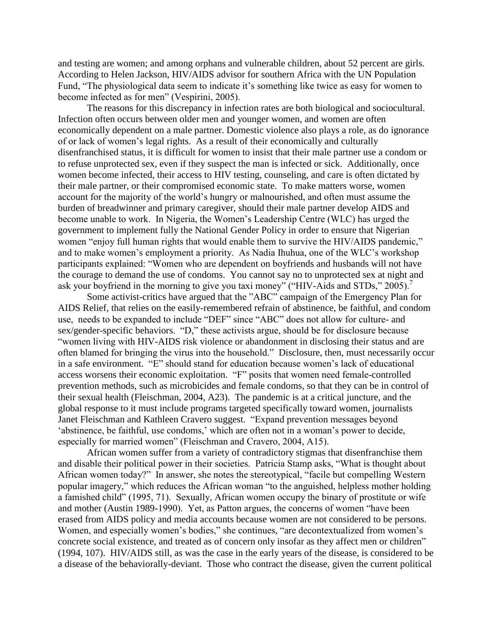and testing are women; and among orphans and vulnerable children, about 52 percent are girls. According to Helen Jackson, HIV/AIDS advisor for southern Africa with the UN Population Fund, "The physiological data seem to indicate it's something like twice as easy for women to become infected as for men" (Vespirini, 2005).

The reasons for this discrepancy in infection rates are both biological and sociocultural. Infection often occurs between older men and younger women, and women are often economically dependent on a male partner. Domestic violence also plays a role, as do ignorance of or lack of women's legal rights. As a result of their economically and culturally disenfranchised status, it is difficult for women to insist that their male partner use a condom or to refuse unprotected sex, even if they suspect the man is infected or sick. Additionally, once women become infected, their access to HIV testing, counseling, and care is often dictated by their male partner, or their compromised economic state. To make matters worse, women account for the majority of the world's hungry or malnourished, and often must assume the burden of breadwinner and primary caregiver, should their male partner develop AIDS and become unable to work. In Nigeria, the Women's Leadership Centre (WLC) has urged the government to implement fully the National Gender Policy in order to ensure that Nigerian women "enjoy full human rights that would enable them to survive the HIV/AIDS pandemic," and to make women's employment a priority. As Nadia Ihuhua, one of the WLC's workshop participants explained: "Women who are dependent on boyfriends and husbands will not have the courage to demand the use of condoms. You cannot say no to unprotected sex at night and ask your boyfriend in the morning to give you taxi money" ("HIV-Aids and STDs," 2005).<sup>7</sup>

Some activist-critics have argued that the "ABC" campaign of the Emergency Plan for AIDS Relief, that relies on the easily-remembered refrain of abstinence, be faithful, and condom use, needs to be expanded to include "DEF" since "ABC" does not allow for culture- and sex/gender-specific behaviors. "D," these activists argue, should be for disclosure because "women living with HIV-AIDS risk violence or abandonment in disclosing their status and are often blamed for bringing the virus into the household." Disclosure, then, must necessarily occur in a safe environment. "E" should stand for education because women's lack of educational access worsens their economic exploitation. "F" posits that women need female-controlled prevention methods, such as microbicides and female condoms, so that they can be in control of their sexual health (Fleischman, 2004, A23). The pandemic is at a critical juncture, and the global response to it must include programs targeted specifically toward women, journalists Janet Fleischman and Kathleen Cravero suggest. "Expand prevention messages beyond 'abstinence, be faithful, use condoms,' which are often not in a woman's power to decide, especially for married women" (Fleischman and Cravero, 2004, A15).

African women suffer from a variety of contradictory stigmas that disenfranchise them and disable their political power in their societies. Patricia Stamp asks, "What is thought about African women today?" In answer, she notes the stereotypical, "facile but compelling Western popular imagery," which reduces the African woman "to the anguished, helpless mother holding a famished child" (1995, 71). Sexually, African women occupy the binary of prostitute or wife and mother (Austin 1989-1990). Yet, as Patton argues, the concerns of women "have been erased from AIDS policy and media accounts because women are not considered to be persons. Women, and especially women's bodies," she continues, "are decontextualized from women's concrete social existence, and treated as of concern only insofar as they affect men or children" (1994, 107). HIV/AIDS still, as was the case in the early years of the disease, is considered to be a disease of the behaviorally-deviant. Those who contract the disease, given the current political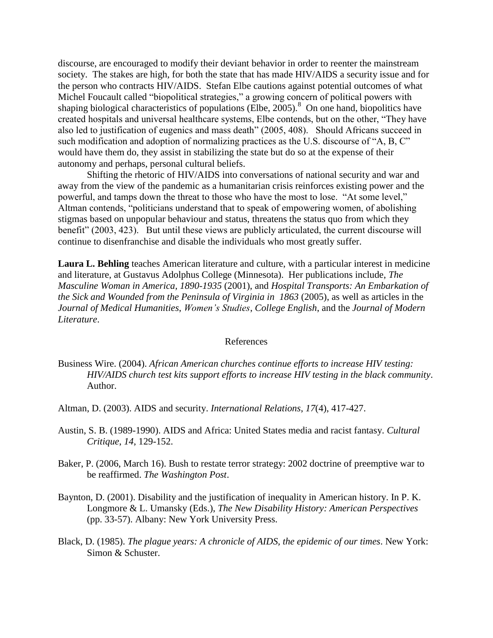discourse, are encouraged to modify their deviant behavior in order to reenter the mainstream society. The stakes are high, for both the state that has made HIV/AIDS a security issue and for the person who contracts HIV/AIDS. Stefan Elbe cautions against potential outcomes of what Michel Foucault called "biopolitical strategies," a growing concern of political powers with shaping biological characteristics of populations (Elbe, 2005).<sup>8</sup> On one hand, biopolitics have created hospitals and universal healthcare systems, Elbe contends, but on the other, "They have also led to justification of eugenics and mass death" (2005, 408). Should Africans succeed in such modification and adoption of normalizing practices as the U.S. discourse of "A, B, C" would have them do, they assist in stabilizing the state but do so at the expense of their autonomy and perhaps, personal cultural beliefs.

Shifting the rhetoric of HIV/AIDS into conversations of national security and war and away from the view of the pandemic as a humanitarian crisis reinforces existing power and the powerful, and tamps down the threat to those who have the most to lose. "At some level," Altman contends, "politicians understand that to speak of empowering women, of abolishing stigmas based on unpopular behaviour and status, threatens the status quo from which they benefit" (2003, 423). But until these views are publicly articulated, the current discourse will continue to disenfranchise and disable the individuals who most greatly suffer.

**Laura L. Behling** teaches American literature and culture, with a particular interest in medicine and literature, at Gustavus Adolphus College (Minnesota). Her publications include, *The Masculine Woman in America, 1890-1935* (2001), and *Hospital Transports: An Embarkation of the Sick and Wounded from the Peninsula of Virginia in 1863* (2005), as well as articles in the *Journal of Medical Humanities*, *Women's Studies*, *College English*, and the *Journal of Modern Literature*.

## References

- Business Wire. (2004). *African American churches continue efforts to increase HIV testing: HIV/AIDS church test kits support efforts to increase HIV testing in the black community*. Author.
- Altman, D. (2003). AIDS and security. *International Relations*, *17*(4), 417-427.
- Austin, S. B. (1989-1990). AIDS and Africa: United States media and racist fantasy. *Cultural Critique*, *14*, 129-152.
- Baker, P. (2006, March 16). Bush to restate terror strategy: 2002 doctrine of preemptive war to be reaffirmed. *The Washington Post*.
- Baynton, D. (2001). Disability and the justification of inequality in American history. In P. K. Longmore & L. Umansky (Eds.), *The New Disability History: American Perspectives* (pp. 33-57). Albany: New York University Press.
- Black, D. (1985). *The plague years: A chronicle of AIDS, the epidemic of our times*. New York: Simon & Schuster.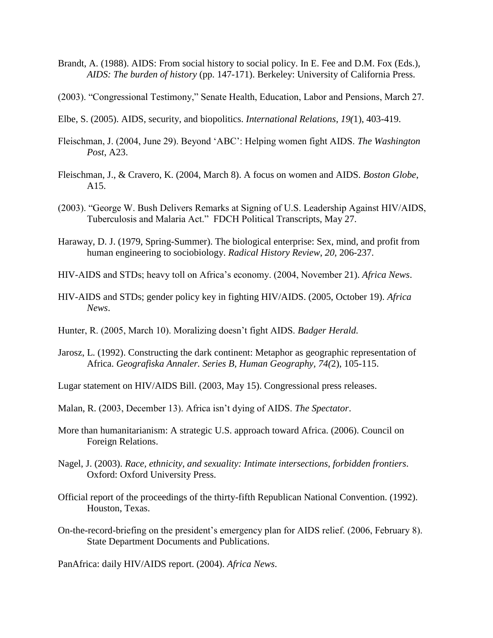- Brandt, A. (1988). AIDS: From social history to social policy. In E. Fee and D.M. Fox (Eds.), *AIDS: The burden of history* (pp. 147-171). Berkeley: University of California Press.
- (2003). "Congressional Testimony," Senate Health, Education, Labor and Pensions, March 27.
- Elbe, S. (2005). AIDS, security, and biopolitics. *International Relations*, *19(*1), 403-419.
- Fleischman, J. (2004, June 29). Beyond 'ABC': Helping women fight AIDS. *The Washington Post*, A23.
- Fleischman, J., & Cravero, K. (2004, March 8). A focus on women and AIDS. *Boston Globe*, A15.
- (2003). "George W. Bush Delivers Remarks at Signing of U.S. Leadership Against HIV/AIDS, Tuberculosis and Malaria Act." FDCH Political Transcripts, May 27.
- Haraway, D. J. (1979, Spring-Summer). The biological enterprise: Sex, mind, and profit from human engineering to sociobiology. *Radical History Review*, *20*, 206-237.
- HIV-AIDS and STDs; heavy toll on Africa's economy. (2004, November 21). *Africa News*.
- HIV-AIDS and STDs; gender policy key in fighting HIV/AIDS. (2005, October 19). *Africa News*.
- Hunter, R. (2005, March 10). Moralizing doesn't fight AIDS. *Badger Herald.*
- Jarosz, L. (1992). Constructing the dark continent: Metaphor as geographic representation of Africa. *Geografiska Annaler. Series B, Human Geography, 74(*2), 105-115.

Lugar statement on HIV/AIDS Bill. (2003, May 15). Congressional press releases.

Malan, R. (2003, December 13). Africa isn't dying of AIDS. *The Spectator*.

- More than humanitarianism: A strategic U.S. approach toward Africa. (2006). Council on Foreign Relations.
- Nagel, J. (2003). *Race, ethnicity, and sexuality: Intimate intersections, forbidden frontiers*. Oxford: Oxford University Press.
- Official report of the proceedings of the thirty-fifth Republican National Convention. (1992). Houston, Texas.
- On-the-record-briefing on the president's emergency plan for AIDS relief. (2006, February 8). State Department Documents and Publications.

PanAfrica: daily HIV/AIDS report. (2004). *Africa News*.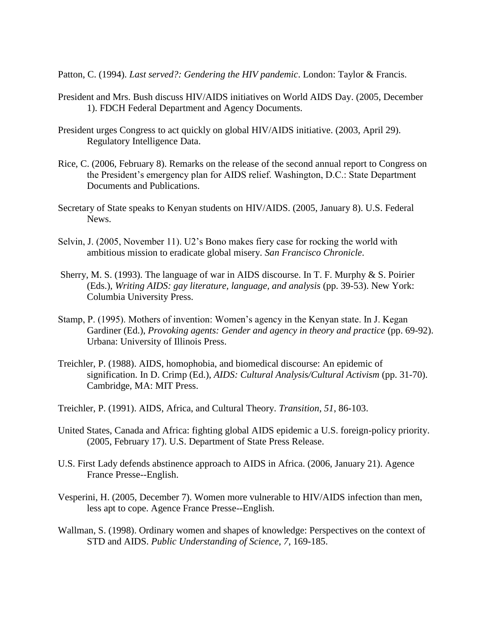Patton, C. (1994). *Last served?: Gendering the HIV pandemic*. London: Taylor & Francis.

- President and Mrs. Bush discuss HIV/AIDS initiatives on World AIDS Day. (2005, December 1). FDCH Federal Department and Agency Documents.
- President urges Congress to act quickly on global HIV/AIDS initiative. (2003, April 29). Regulatory Intelligence Data.
- Rice, C. (2006, February 8). Remarks on the release of the second annual report to Congress on the President's emergency plan for AIDS relief. Washington, D.C.: State Department Documents and Publications.
- Secretary of State speaks to Kenyan students on HIV/AIDS. (2005, January 8). U.S. Federal News.
- Selvin, J. (2005, November 11). U2's Bono makes fiery case for rocking the world with ambitious mission to eradicate global misery. *San Francisco Chronicle*.
- Sherry, M. S. (1993). The language of war in AIDS discourse. In T. F. Murphy & S. Poirier (Eds.), *Writing AIDS: gay literature, language, and analysis* (pp. 39-53). New York: Columbia University Press.
- Stamp, P. (1995). Mothers of invention: Women's agency in the Kenyan state. In J. Kegan Gardiner (Ed.), *Provoking agents: Gender and agency in theory and practice* (pp. 69-92). Urbana: University of Illinois Press.
- Treichler, P. (1988). AIDS, homophobia, and biomedical discourse: An epidemic of signification. In D. Crimp (Ed.), *AIDS: Cultural Analysis/Cultural Activism* (pp. 31-70). Cambridge, MA: MIT Press.
- Treichler, P. (1991). AIDS, Africa, and Cultural Theory. *Transition*, *51*, 86-103.
- United States, Canada and Africa: fighting global AIDS epidemic a U.S. foreign-policy priority. (2005, February 17). U.S. Department of State Press Release.
- U.S. First Lady defends abstinence approach to AIDS in Africa. (2006, January 21). Agence France Presse--English.
- Vesperini, H. (2005, December 7). Women more vulnerable to HIV/AIDS infection than men, less apt to cope. Agence France Presse--English.
- Wallman, S. (1998). Ordinary women and shapes of knowledge: Perspectives on the context of STD and AIDS. *Public Understanding of Science, 7*, 169-185.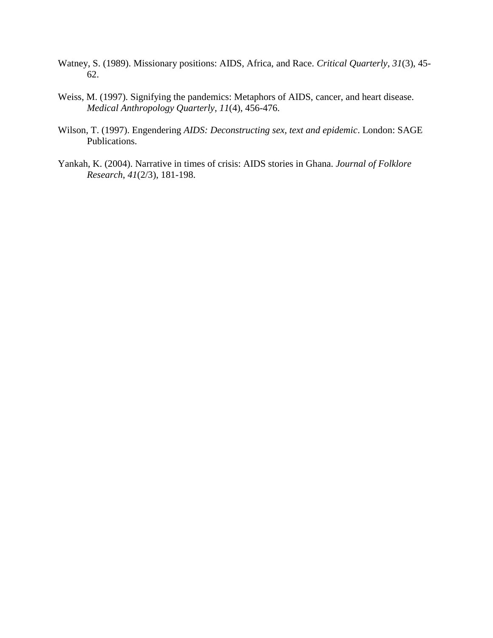- Watney, S. (1989). Missionary positions: AIDS, Africa, and Race. *Critical Quarterly*, *31*(3), 45- 62.
- Weiss, M. (1997). Signifying the pandemics: Metaphors of AIDS, cancer, and heart disease. *Medical Anthropology Quarterly*, *11*(4), 456-476.
- Wilson, T. (1997). Engendering *AIDS: Deconstructing sex, text and epidemic*. London: SAGE Publications.
- Yankah, K. (2004). Narrative in times of crisis: AIDS stories in Ghana. *Journal of Folklore Research*, *41*(2/3), 181-198.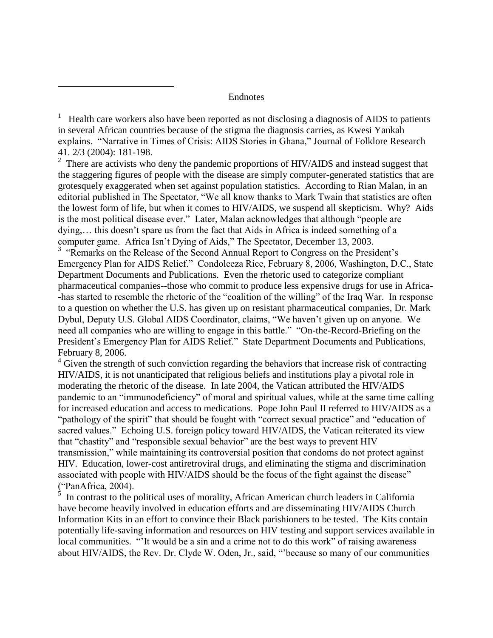## Endnotes

 $\overline{a}$ 

<sup>1</sup> Health care workers also have been reported as not disclosing a diagnosis of AIDS to patients in several African countries because of the stigma the diagnosis carries, as Kwesi Yankah explains. "Narrative in Times of Crisis: AIDS Stories in Ghana," Journal of Folklore Research 41. 2/3 (2004): 181-198.

 $2^2$  There are activists who deny the pandemic proportions of HIV/AIDS and instead suggest that the staggering figures of people with the disease are simply computer-generated statistics that are grotesquely exaggerated when set against population statistics. According to Rian Malan, in an editorial published in The Spectator, "We all know thanks to Mark Twain that statistics are often the lowest form of life, but when it comes to HIV/AIDS, we suspend all skepticism. Why? Aids is the most political disease ever." Later, Malan acknowledges that although "people are dying,… this doesn't spare us from the fact that Aids in Africa is indeed something of a computer game. Africa Isn't Dying of Aids," The Spectator, December 13, 2003.

<sup>3</sup> "Remarks on the Release of the Second Annual Report to Congress on the President's Emergency Plan for AIDS Relief." Condoleeza Rice, February 8, 2006, Washington, D.C., State Department Documents and Publications. Even the rhetoric used to categorize compliant pharmaceutical companies--those who commit to produce less expensive drugs for use in Africa- -has started to resemble the rhetoric of the "coalition of the willing" of the Iraq War. In response to a question on whether the U.S. has given up on resistant pharmaceutical companies, Dr. Mark Dybul, Deputy U.S. Global AIDS Coordinator, claims, "We haven't given up on anyone. We need all companies who are willing to engage in this battle." "On-the-Record-Briefing on the President's Emergency Plan for AIDS Relief." State Department Documents and Publications, February 8, 2006.

<sup>4</sup> Given the strength of such conviction regarding the behaviors that increase risk of contracting HIV/AIDS, it is not unanticipated that religious beliefs and institutions play a pivotal role in moderating the rhetoric of the disease. In late 2004, the Vatican attributed the HIV/AIDS pandemic to an "immunodeficiency" of moral and spiritual values, while at the same time calling for increased education and access to medications. Pope John Paul II referred to HIV/AIDS as a "pathology of the spirit" that should be fought with "correct sexual practice" and "education of sacred values." Echoing U.S. foreign policy toward HIV/AIDS, the Vatican reiterated its view that "chastity" and "responsible sexual behavior" are the best ways to prevent HIV transmission," while maintaining its controversial position that condoms do not protect against HIV. Education, lower-cost antiretroviral drugs, and eliminating the stigma and discrimination associated with people with HIV/AIDS should be the focus of the fight against the disease"

("PanAfrica, 2004).<br><sup>5</sup> In contrast to the political uses of morality, African American church leaders in California have become heavily involved in education efforts and are disseminating HIV/AIDS Church Information Kits in an effort to convince their Black parishioners to be tested. The Kits contain potentially life-saving information and resources on HIV testing and support services available in local communities. "'It would be a sin and a crime not to do this work" of raising awareness about HIV/AIDS, the Rev. Dr. Clyde W. Oden, Jr., said, "'because so many of our communities